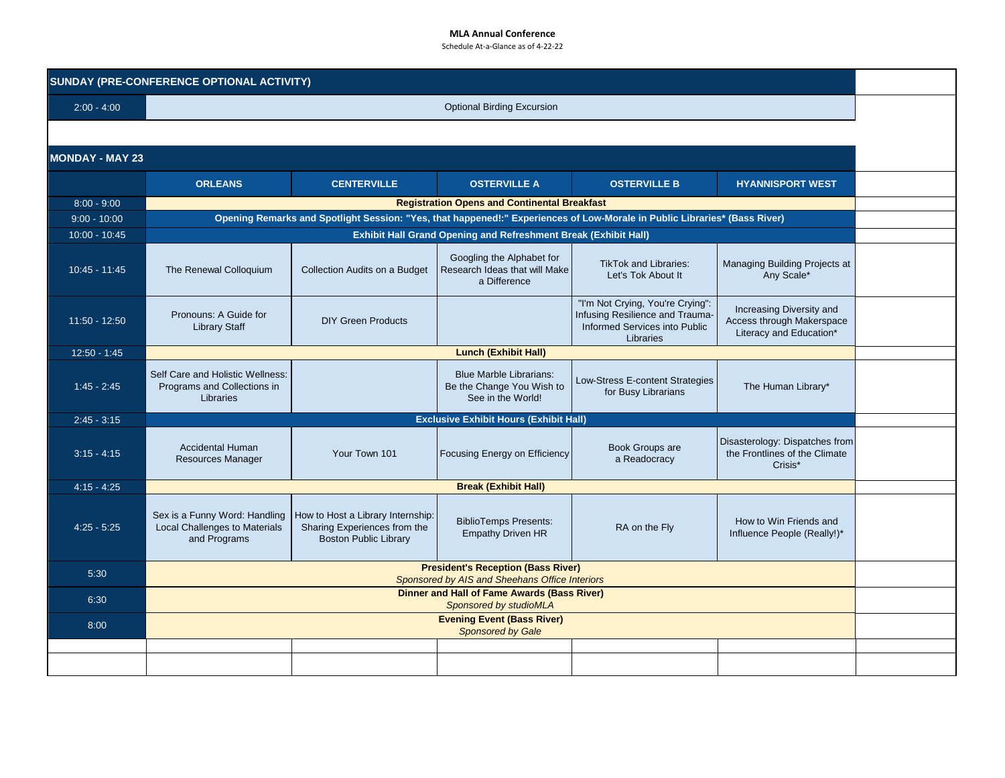## **MLA Annual Conference**

Schedule At-a-Glance as of 4-22-22

| SUNDAY (PRE-CONFERENCE OPTIONAL ACTIVITY) |                                                                                                                           |                                                                                                   |                                                                                                      |                                                                                                                   |                                                                                  |  |  |  |  |  |
|-------------------------------------------|---------------------------------------------------------------------------------------------------------------------------|---------------------------------------------------------------------------------------------------|------------------------------------------------------------------------------------------------------|-------------------------------------------------------------------------------------------------------------------|----------------------------------------------------------------------------------|--|--|--|--|--|
| $2:00 - 4:00$                             | <b>Optional Birding Excursion</b>                                                                                         |                                                                                                   |                                                                                                      |                                                                                                                   |                                                                                  |  |  |  |  |  |
|                                           |                                                                                                                           |                                                                                                   |                                                                                                      |                                                                                                                   |                                                                                  |  |  |  |  |  |
| <b>MONDAY - MAY 23</b>                    |                                                                                                                           |                                                                                                   |                                                                                                      |                                                                                                                   |                                                                                  |  |  |  |  |  |
|                                           | <b>ORLEANS</b>                                                                                                            | <b>CENTERVILLE</b>                                                                                | <b>OSTERVILLE A</b>                                                                                  | <b>OSTERVILLE B</b>                                                                                               | <b>HYANNISPORT WEST</b>                                                          |  |  |  |  |  |
| $8:00 - 9:00$                             | <b>Registration Opens and Continental Breakfast</b>                                                                       |                                                                                                   |                                                                                                      |                                                                                                                   |                                                                                  |  |  |  |  |  |
| $9:00 - 10:00$                            | Opening Remarks and Spotlight Session: "Yes, that happened!:" Experiences of Low-Morale in Public Libraries* (Bass River) |                                                                                                   |                                                                                                      |                                                                                                                   |                                                                                  |  |  |  |  |  |
| $10:00 - 10:45$                           | Exhibit Hall Grand Opening and Refreshment Break (Exhibit Hall)                                                           |                                                                                                   |                                                                                                      |                                                                                                                   |                                                                                  |  |  |  |  |  |
| $10:45 - 11:45$                           | The Renewal Colloquium                                                                                                    | Collection Audits on a Budget                                                                     | Googling the Alphabet for<br>Research Ideas that will Make<br>a Difference                           | <b>TikTok and Libraries:</b><br>Let's Tok About It                                                                | Managing Building Projects at<br>Any Scale*                                      |  |  |  |  |  |
| $11:50 - 12:50$                           | Pronouns: A Guide for<br><b>Library Staff</b>                                                                             | <b>DIY Green Products</b>                                                                         |                                                                                                      | "I'm Not Crying, You're Crying":<br>Infusing Resilience and Trauma-<br>Informed Services into Public<br>Libraries | Increasing Diversity and<br>Access through Makerspace<br>Literacy and Education* |  |  |  |  |  |
| $12:50 - 1:45$                            | <b>Lunch (Exhibit Hall)</b>                                                                                               |                                                                                                   |                                                                                                      |                                                                                                                   |                                                                                  |  |  |  |  |  |
| $1:45 - 2:45$                             | Self Care and Holistic Wellness:<br>Programs and Collections in<br>Libraries                                              |                                                                                                   | <b>Blue Marble Librarians:</b><br>Be the Change You Wish to<br>See in the World!                     | Low-Stress E-content Strategies<br>for Busy Librarians                                                            | The Human Library*                                                               |  |  |  |  |  |
| $2:45 - 3:15$                             | <b>Exclusive Exhibit Hours (Exhibit Hall)</b>                                                                             |                                                                                                   |                                                                                                      |                                                                                                                   |                                                                                  |  |  |  |  |  |
| $3:15 - 4:15$                             | <b>Accidental Human</b><br><b>Resources Manager</b>                                                                       | Your Town 101                                                                                     | Focusing Energy on Efficiency                                                                        | Book Groups are<br>a Readocracy                                                                                   | Disasterology: Dispatches from<br>the Frontlines of the Climate<br>Crisis*       |  |  |  |  |  |
| $4:15 - 4:25$                             | <b>Break (Exhibit Hall)</b>                                                                                               |                                                                                                   |                                                                                                      |                                                                                                                   |                                                                                  |  |  |  |  |  |
| $4:25 - 5:25$                             | Sex is a Funny Word: Handling<br>Local Challenges to Materials<br>and Programs                                            | How to Host a Library Internship:<br>Sharing Experiences from the<br><b>Boston Public Library</b> | <b>BiblioTemps Presents:</b><br><b>Empathy Driven HR</b>                                             | RA on the Fly                                                                                                     | How to Win Friends and<br>Influence People (Really!)*                            |  |  |  |  |  |
| 5:30                                      |                                                                                                                           |                                                                                                   | <b>President's Reception (Bass River)</b>                                                            |                                                                                                                   |                                                                                  |  |  |  |  |  |
|                                           |                                                                                                                           |                                                                                                   | Sponsored by AIS and Sheehans Office Interiors<br><b>Dinner and Hall of Fame Awards (Bass River)</b> |                                                                                                                   |                                                                                  |  |  |  |  |  |
| 6:30                                      |                                                                                                                           |                                                                                                   | Sponsored by studioMLA                                                                               |                                                                                                                   |                                                                                  |  |  |  |  |  |
| 8:00                                      | <b>Evening Event (Bass River)</b><br><b>Sponsored by Gale</b>                                                             |                                                                                                   |                                                                                                      |                                                                                                                   |                                                                                  |  |  |  |  |  |
|                                           |                                                                                                                           |                                                                                                   |                                                                                                      |                                                                                                                   |                                                                                  |  |  |  |  |  |
|                                           |                                                                                                                           |                                                                                                   |                                                                                                      |                                                                                                                   |                                                                                  |  |  |  |  |  |